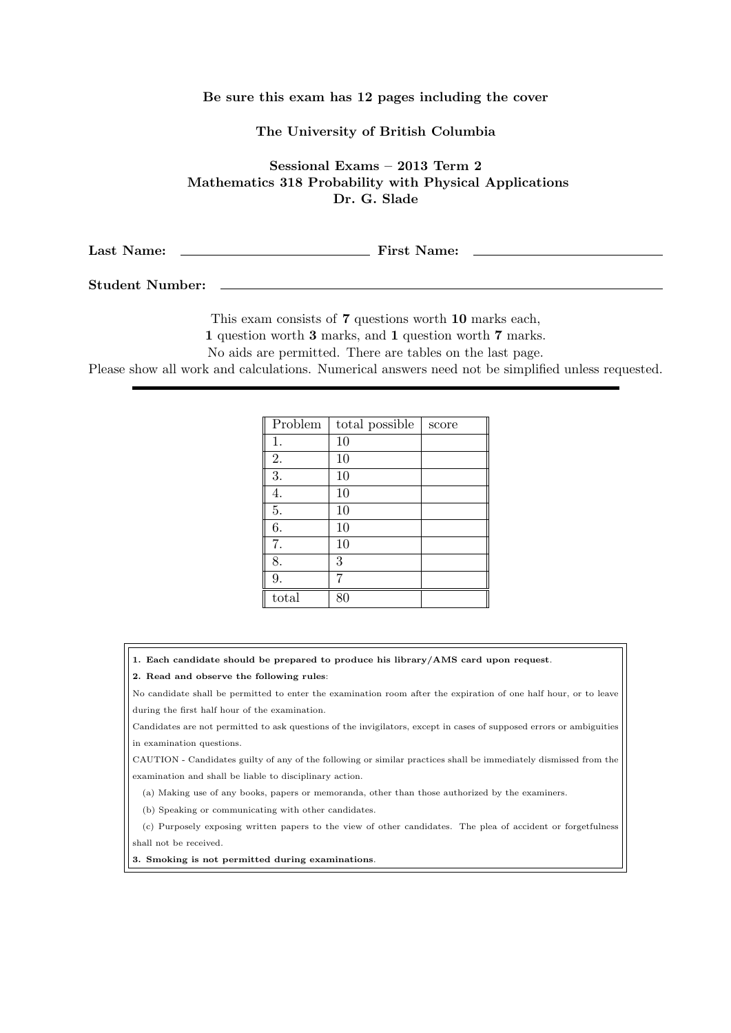## **Be sure this exam has 12 pages including the cover**

**The University of British Columbia**

**Sessional Exams – 2013 Term 2 Mathematics 318 Probability with Physical Applications Dr. G. Slade**

**Last Name: First Name:**

**Student Number:**

This exam consists of **7** questions worth **10** marks each,

**1** question worth **3** marks, and **1** question worth **7** marks.

No aids are permitted. There are tables on the last page.

Please show all work and calculations. Numerical answers need not be simplified unless requested.

| Problem | total possible | score |
|---------|----------------|-------|
| 1.      | 10             |       |
| 2.      | 10             |       |
| 3.      | 10             |       |
| 4.      | 10             |       |
| 5.      | 10             |       |
| 6.      | 10             |       |
| 7.      | 10             |       |
| 8.      | 3              |       |
| 9.      | 7              |       |
| total   | 80             |       |

**1. Each candidate should be prepared to produce his library/AMS card upon request**.

**2. Read and observe the following rules**:

No candidate shall be permitted to enter the examination room after the expiration of one half hour, or to leave during the first half hour of the examination.

Candidates are not permitted to ask questions of the invigilators, except in cases of supposed errors or ambiguities in examination questions.

CAUTION - Candidates guilty of any of the following or similar practices shall be immediately dismissed from the examination and shall be liable to disciplinary action.

(a) Making use of any books, papers or memoranda, other than those authorized by the examiners.

(b) Speaking or communicating with other candidates.

(c) Purposely exposing written papers to the view of other candidates. The plea of accident or forgetfulness shall not be received.

**3. Smoking is not permitted during examinations**.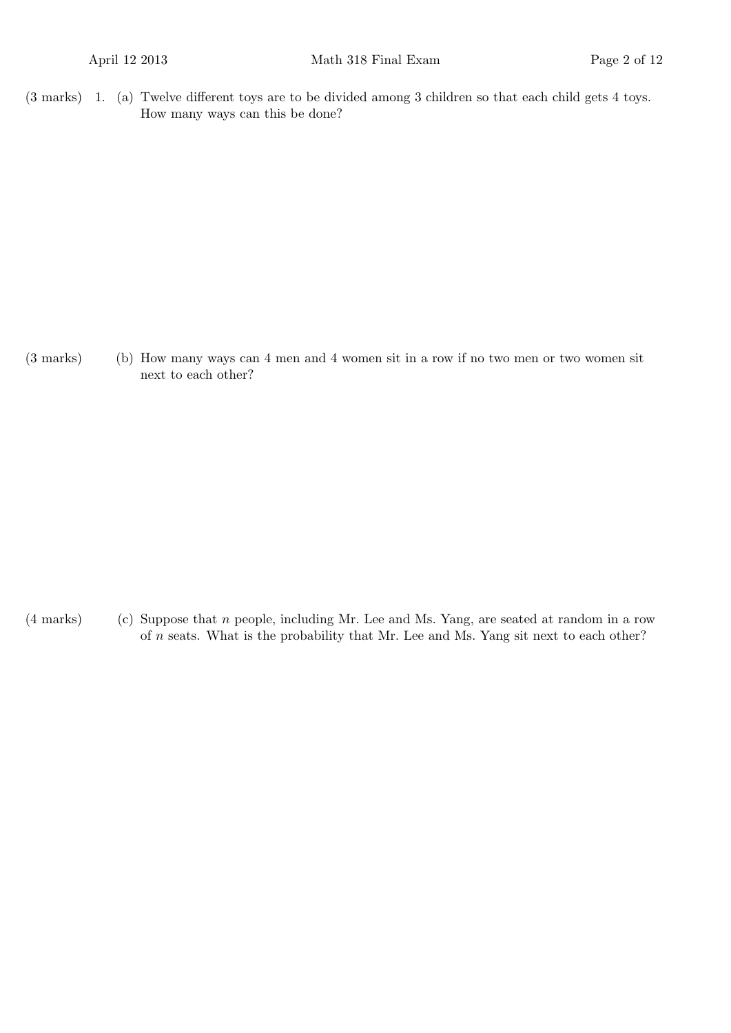(3 marks) 1. (a) Twelve different toys are to be divided among 3 children so that each child gets 4 toys. How many ways can this be done?

(3 marks) (b) How many ways can 4 men and 4 women sit in a row if no two men or two women sit next to each other?

(4 marks) (c) Suppose that *n* people, including Mr. Lee and Ms. Yang, are seated at random in a row of *n* seats. What is the probability that Mr. Lee and Ms. Yang sit next to each other?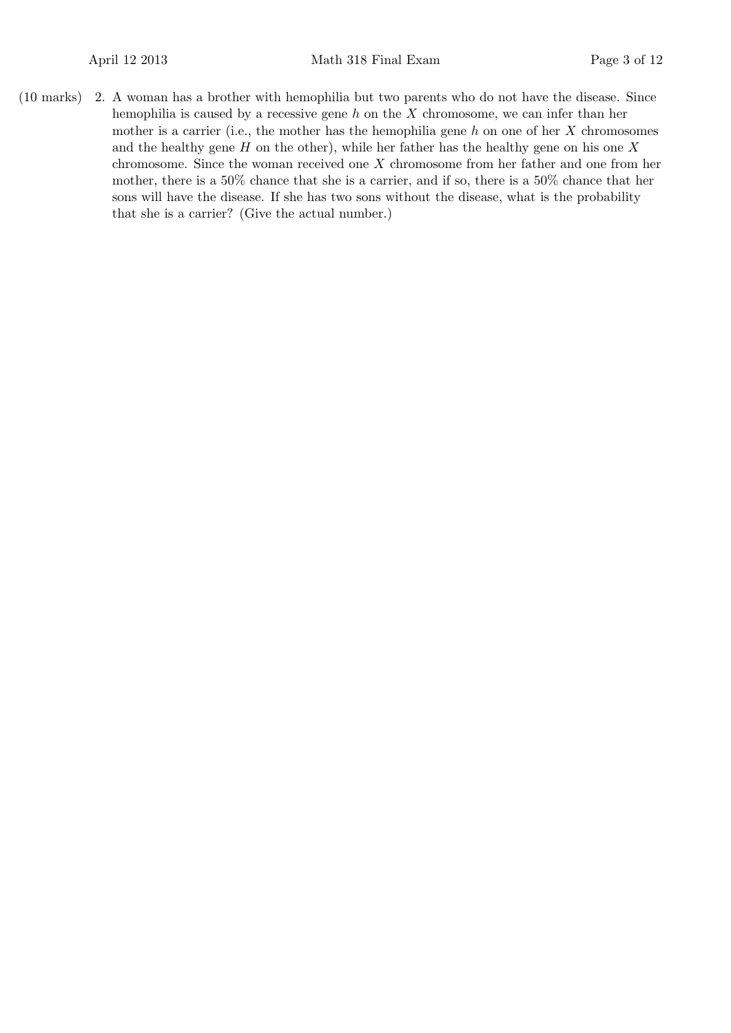(10 marks) 2. A woman has a brother with hemophilia but two parents who do not have the disease. Since hemophilia is caused by a recessive gene *h* on the *X* chromosome, we can infer than her mother is a carrier (i.e., the mother has the hemophilia gene *h* on one of her *X* chromosomes and the healthy gene *H* on the other), while her father has the healthy gene on his one *X* chromosome. Since the woman received one *X* chromosome from her father and one from her mother, there is a 50% chance that she is a carrier, and if so, there is a 50% chance that her sons will have the disease. If she has two sons without the disease, what is the probability that she is a carrier? (Give the actual number.)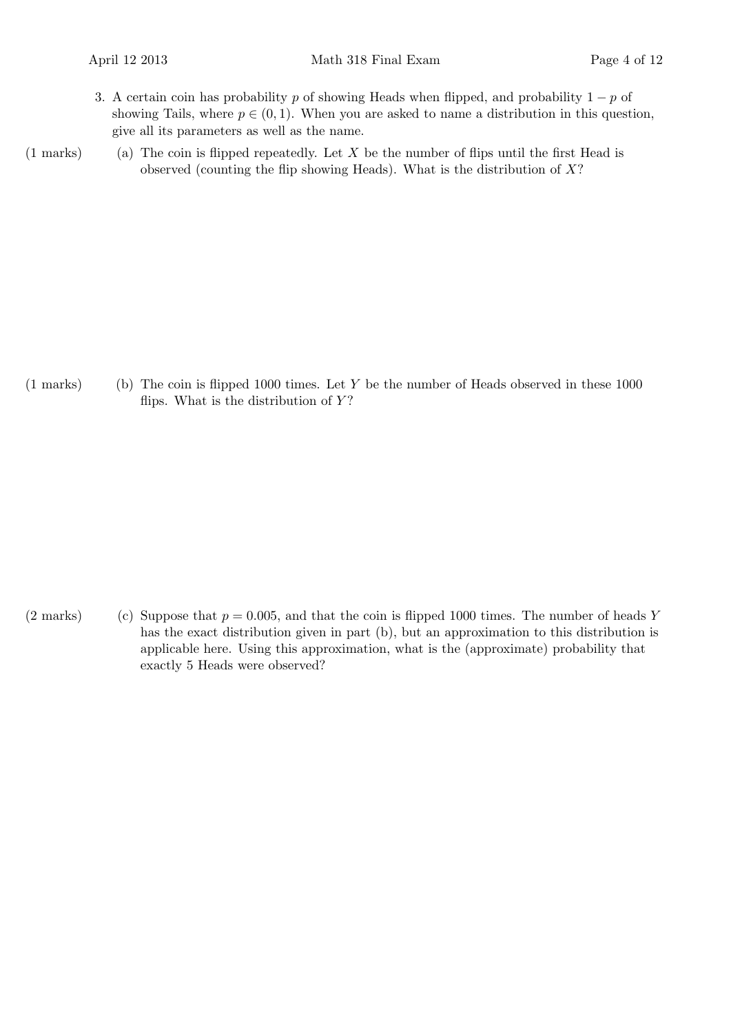- 3. A certain coin has probability *p* of showing Heads when flipped, and probability 1 *− p* of showing Tails, where  $p \in (0, 1)$ . When you are asked to name a distribution in this question, give all its parameters as well as the name.
- 
- (1 marks) (a) The coin is flipped repeatedly. Let *X* be the number of flips until the first Head is observed (counting the flip showing Heads). What is the distribution of *X*?

(1 marks) (b) The coin is flipped 1000 times. Let *Y* be the number of Heads observed in these 1000 flips. What is the distribution of *Y* ?

(2 marks) (c) Suppose that  $p = 0.005$ , and that the coin is flipped 1000 times. The number of heads Y has the exact distribution given in part (b), but an approximation to this distribution is applicable here. Using this approximation, what is the (approximate) probability that exactly 5 Heads were observed?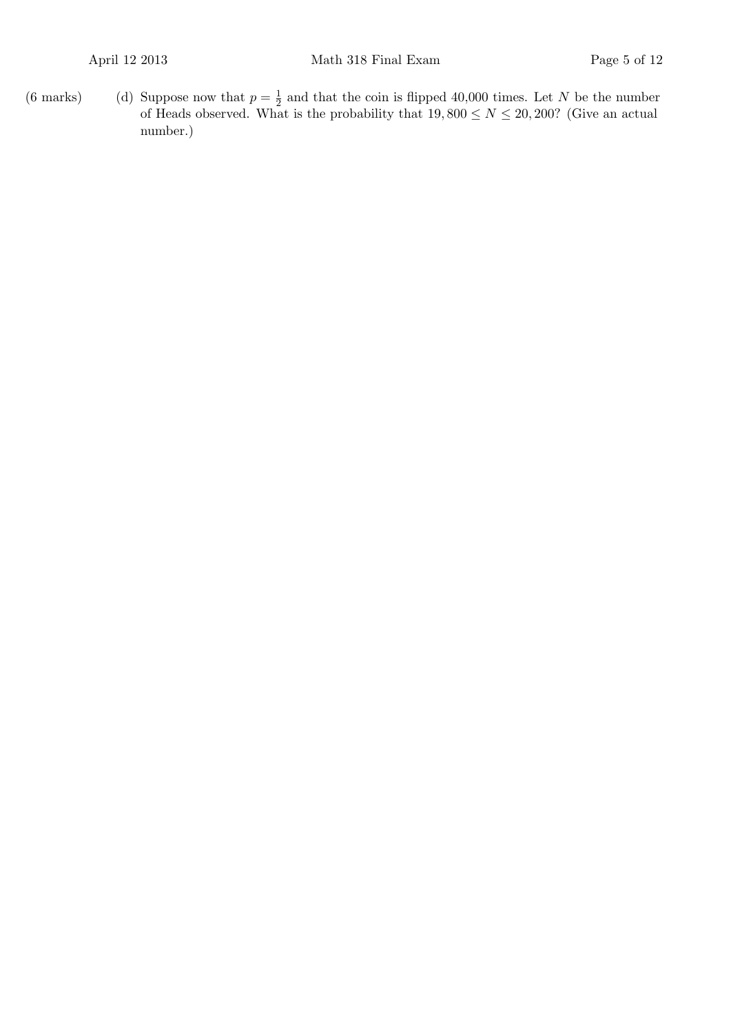(6 marks) (d) Suppose now that  $p = \frac{1}{2}$  $\frac{1}{2}$  and that the coin is flipped 40,000 times. Let *N* be the number of Heads observed. What is the probability that  $19,800 \leq N \leq 20,200$ ? (Give an actual number.)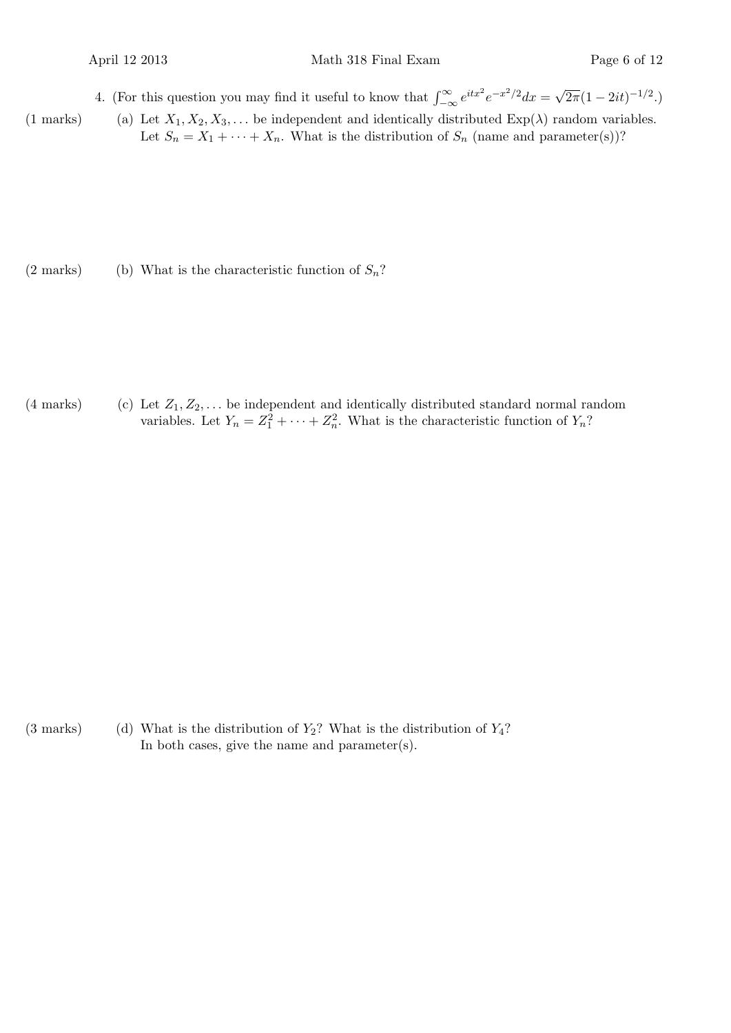4. (For this question you may find it useful to know that  $\int_{-\infty}^{\infty} e^{itx^2} e^{-x^2/2} dx = \sqrt{2\pi}$  $\sqrt{2\pi}(1-2it)^{-1/2}$ .)

(1 marks) (a) Let  $X_1, X_2, X_3, \ldots$  be independent and identically distributed  $Exp(\lambda)$  random variables. Let  $S_n = X_1 + \cdots + X_n$ . What is the distribution of  $S_n$  (name and parameter(s))?

(2 marks) (b) What is the characteristic function of  $S_n$ ?

(4 marks) (c) Let *Z*1*, Z*2*, . . .* be independent and identically distributed standard normal random variables. Let  $Y_n = Z_1^2 + \cdots + Z_n^2$ . What is the characteristic function of  $Y_n$ ?

(3 marks) (d) What is the distribution of *Y*2? What is the distribution of *Y*4? In both cases, give the name and parameter(s).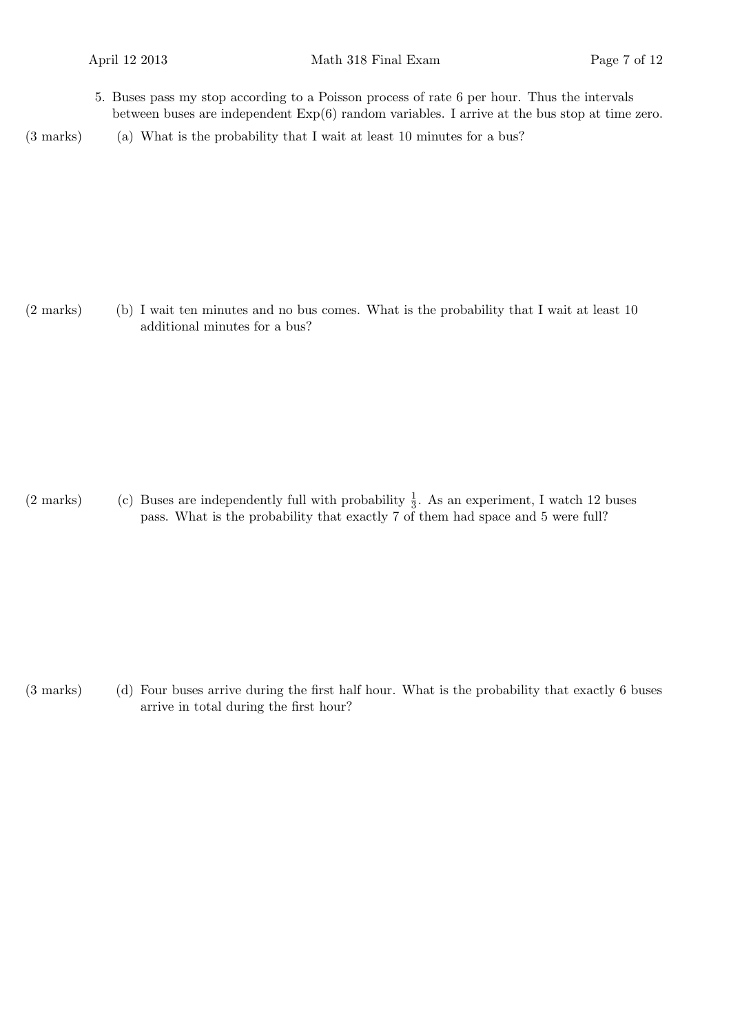- 5. Buses pass my stop according to a Poisson process of rate 6 per hour. Thus the intervals between buses are independent Exp(6) random variables. I arrive at the bus stop at time zero.
- (3 marks) (a) What is the probability that I wait at least 10 minutes for a bus?

(2 marks) (b) I wait ten minutes and no bus comes. What is the probability that I wait at least 10 additional minutes for a bus?

(2 marks) (c) Buses are independently full with probability  $\frac{1}{3}$ . As an experiment, I watch 12 buses pass. What is the probability that exactly 7 of them had space and 5 were full?

(3 marks) (d) Four buses arrive during the first half hour. What is the probability that exactly 6 buses arrive in total during the first hour?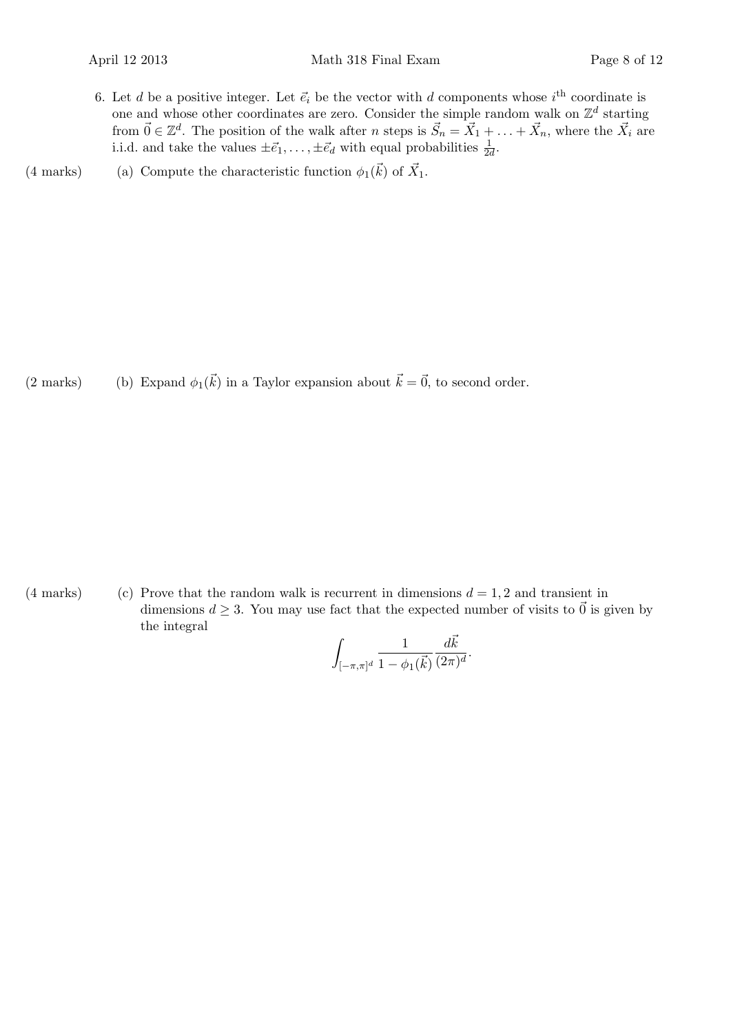- 6. Let *d* be a positive integer. Let  $\vec{e}_i$  be the vector with *d* components whose  $i^{\text{th}}$  coordinate is one and whose other coordinates are zero. Consider the simple random walk on  $\mathbb{Z}^d$  starting from  $\vec{0} \in \mathbb{Z}^d$ . The position of the walk after *n* steps is  $\vec{S}_n = \vec{X}_1 + \ldots + \vec{X}_n$ , where the  $\vec{X}_i$  are i.i.d. and take the values  $\pm \vec{e}_1, \ldots, \pm \vec{e}_d$  with equal probabilities  $\frac{1}{2d}$ .
- (4 marks) (a) Compute the characteristic function  $\phi_1(\vec{k})$  of  $\vec{X}_1$ .

(2 marks) (b) Expand  $\phi_1(\vec{k})$  in a Taylor expansion about  $\vec{k} = \vec{0}$ , to second order.

(4 marks) (c) Prove that the random walk is recurrent in dimensions  $d = 1, 2$  and transient in dimensions  $d \geq 3$ . You may use fact that the expected number of visits to  $\vec{0}$  is given by the integral

$$
\int_{[-\pi,\pi]^d} \frac{1}{1-\phi_1(\vec{k})} \frac{d\vec{k}}{(2\pi)^d}.
$$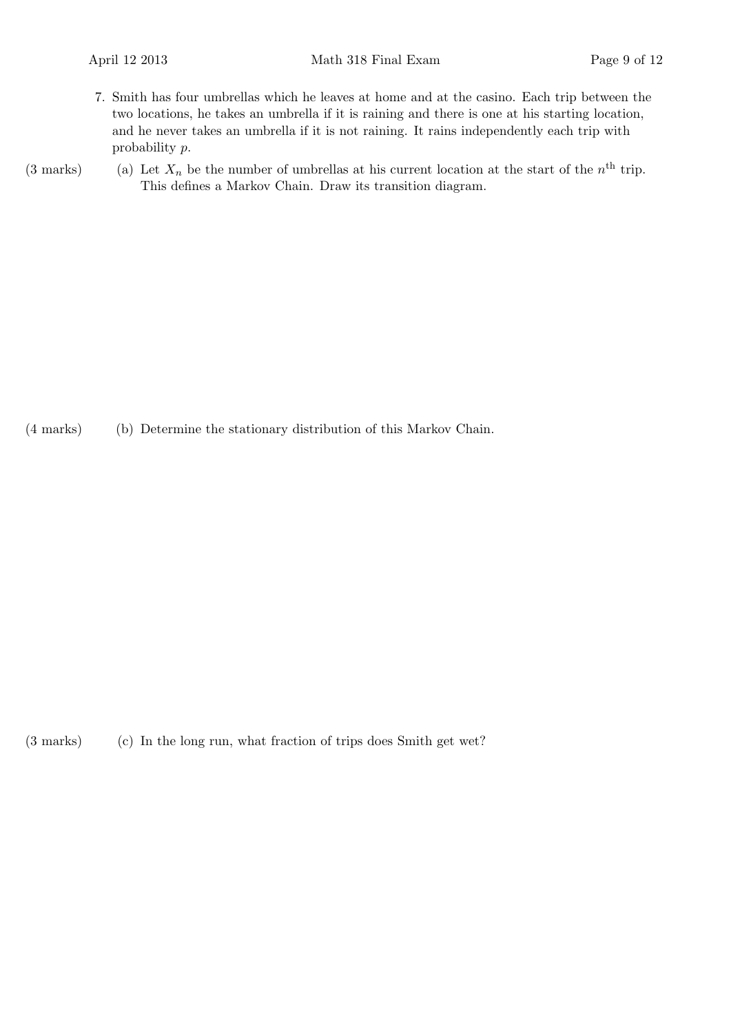- 7. Smith has four umbrellas which he leaves at home and at the casino. Each trip between the two locations, he takes an umbrella if it is raining and there is one at his starting location, and he never takes an umbrella if it is not raining. It rains independently each trip with probability *p*.
- (3 marks) (a) Let  $X_n$  be the number of umbrellas at his current location at the start of the  $n^{\text{th}}$  trip. This defines a Markov Chain. Draw its transition diagram.

(4 marks) (b) Determine the stationary distribution of this Markov Chain.

(3 marks) (c) In the long run, what fraction of trips does Smith get wet?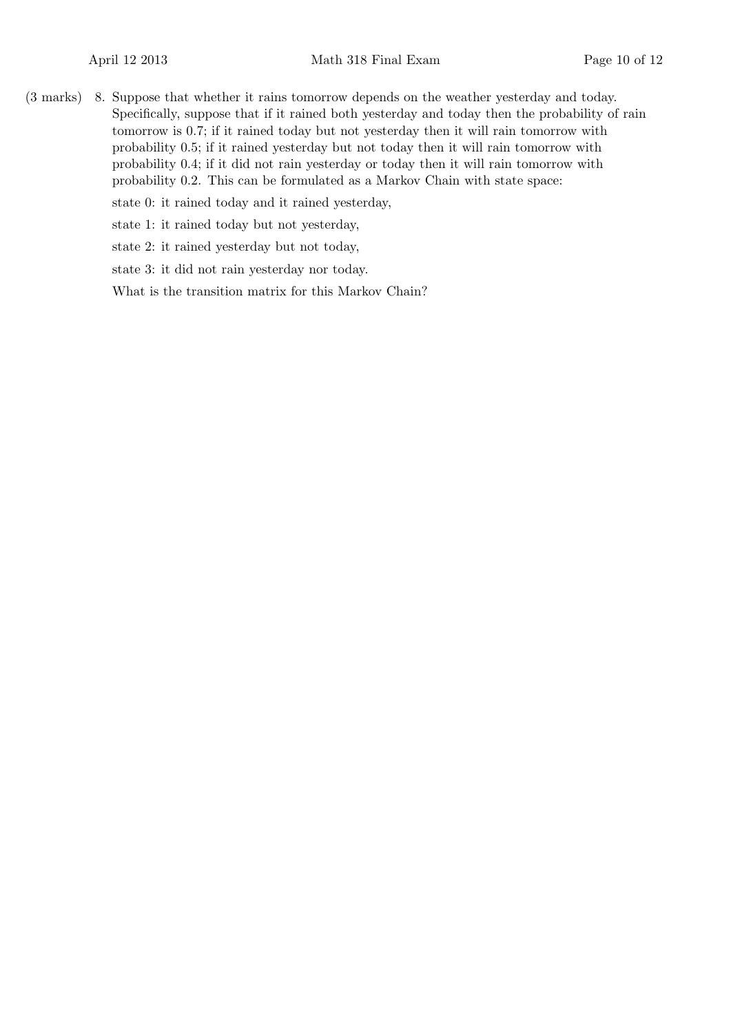(3 marks) 8. Suppose that whether it rains tomorrow depends on the weather yesterday and today. Specifically, suppose that if it rained both yesterday and today then the probability of rain tomorrow is 0*.*7; if it rained today but not yesterday then it will rain tomorrow with probability 0*.*5; if it rained yesterday but not today then it will rain tomorrow with probability 0*.*4; if it did not rain yesterday or today then it will rain tomorrow with probability 0*.*2. This can be formulated as a Markov Chain with state space:

state 0: it rained today and it rained yesterday,

state 1: it rained today but not yesterday,

state 2: it rained yesterday but not today,

state 3: it did not rain yesterday nor today.

What is the transition matrix for this Markov Chain?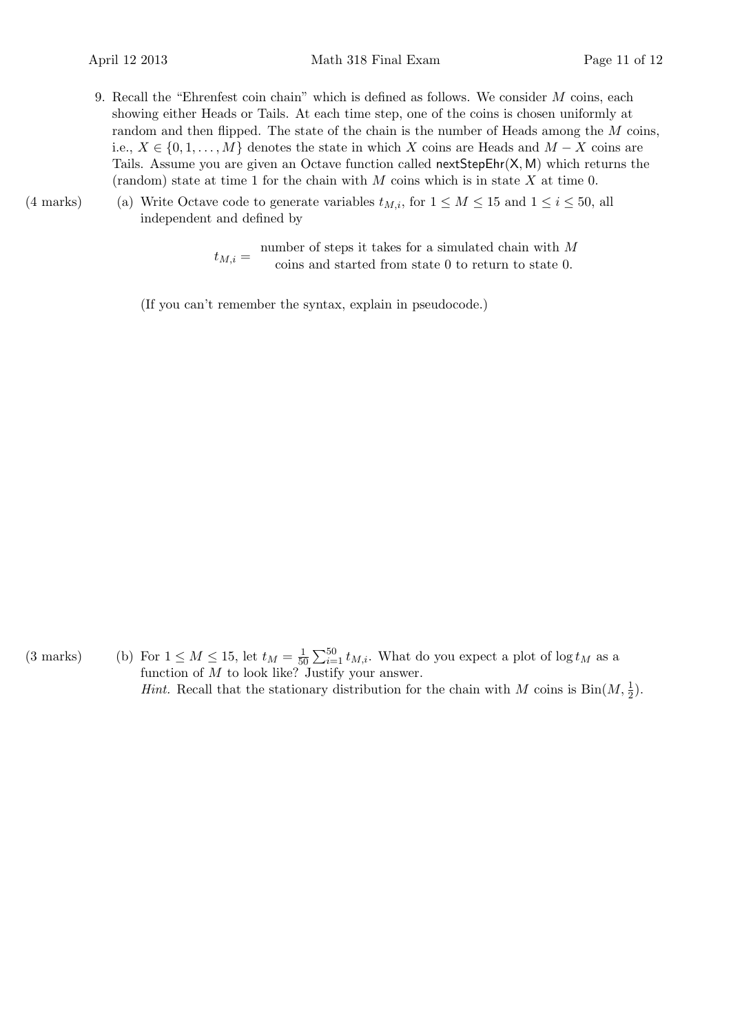- 9. Recall the "Ehrenfest coin chain" which is defined as follows. We consider *M* coins, each showing either Heads or Tails. At each time step, one of the coins is chosen uniformly at random and then flipped. The state of the chain is the number of Heads among the *M* coins, i.e.,  $X \in \{0, 1, \ldots, M\}$  denotes the state in which *X* coins are Heads and  $M - X$  coins are Tails. Assume you are given an Octave function called nextStepEhr(X*,* M) which returns the (random) state at time 1 for the chain with *M* coins which is in state *X* at time 0.
- (4 marks) (a) Write Octave code to generate variables  $t_{M,i}$ , for  $1 \leq M \leq 15$  and  $1 \leq i \leq 50$ , all independent and defined by

 $t_{M,i} =$  number of steps it takes for a simulated chain with *M* coins and started from state 0 to return to state 0.

(If you can't remember the syntax, explain in pseudocode.)

(3 marks) (b) For  $1 \leq M \leq 15$ , let  $t_M = \frac{1}{50}$  $\frac{1}{50} \sum_{i=1}^{50} t_{M,i}$ . What do you expect a plot of log  $t_M$  as a function of *M* to look like? Justify your answer. *Hint.* Recall that the stationary distribution for the chain with *M* coins is  $\text{Bin}(M, \frac{1}{2})$ .